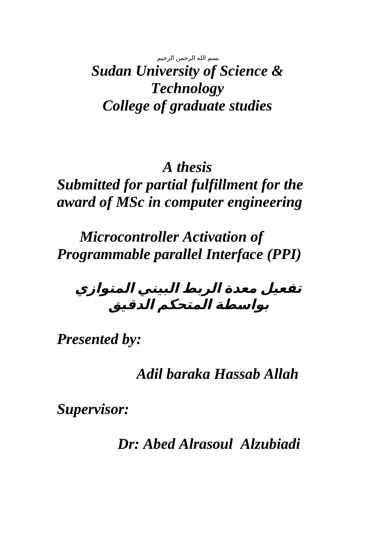بسم الله الرحمن الرحيم

*Sudan University of Science & Technology College of graduate studies*

## *A thesis Submitted for partial fulfillment for the award of MSc in computer engineering*

 *Microcontroller Activation of Programmable parallel Interface (PPI)*

**تفعيل معدة الربط البيني المتوازي بواسطة المتحكم الدقيق**

*Presented by:*

 *Adil baraka Hassab Allah*

*Supervisor:*

 *Dr: Abed Alrasoul Alzubiadi*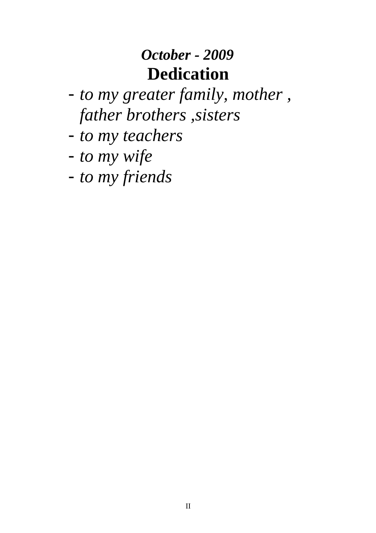# *October - 2009* **Dedication**

- *to my greater family, mother , father brothers ,sisters*
- *to my teachers*
- *to my wife*
- *to my friends*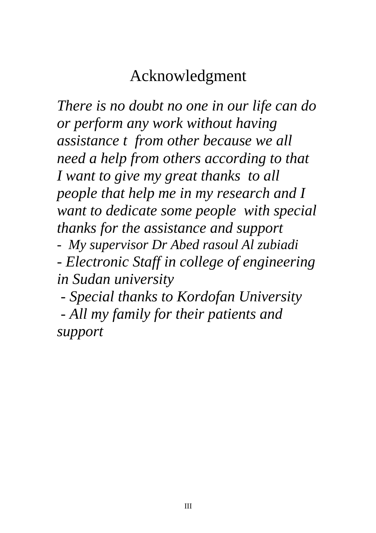# Acknowledgment

*There is no doubt no one in our life can do or perform any work without having assistance t from other because we all need a help from others according to that I want to give my great thanks to all people that help me in my research and I want to dedicate some people with special thanks for the assistance and support - My supervisor Dr Abed rasoul Al zubiadi* 

*- Electronic Staff in college of engineering in Sudan university*

*- Special thanks to Kordofan University* 

*- All my family for their patients and support*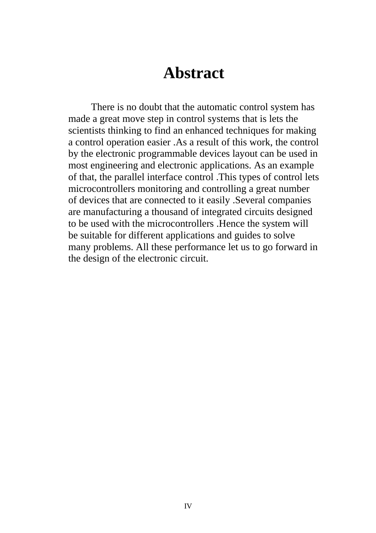### **Abstract**

 There is no doubt that the automatic control system has made a great move step in control systems that is lets the scientists thinking to find an enhanced techniques for making a control operation easier .As a result of this work, the control by the electronic programmable devices layout can be used in most engineering and electronic applications. As an example of that, the parallel interface control .This types of control lets microcontrollers monitoring and controlling a great number of devices that are connected to it easily .Several companies are manufacturing a thousand of integrated circuits designed to be used with the microcontrollers .Hence the system will be suitable for different applications and guides to solve many problems. All these performance let us to go forward in the design of the electronic circuit.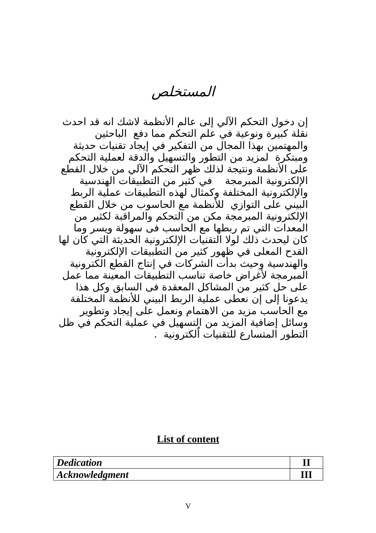المستخلص

إن دخول التحكم الآلي إلى عالم الأنظمة لاشك انه قد احدث ظنقلة كبيرة وظنوعية في علم التحكم مما دفع الباحثين والمهتمين بهذا المجال من التفكير في إيجاد تقنيات حديثة ومبتكرة لمزيد من التطور والتسهيل والدقة لعملية التحكم على الأنظمة ونتيجة لذلك ظهر التحكم الآلي من خلال القطع اللكتروظنية المبرمجة في كثير من التطبيقات الهندسية والإلكترونية المختلفة وكمثال لهذه التطبيقات عملية الربط البيني على التوازي للظنظمة مع الحاسوب من خلل القطع اللكتروظنية المبرمجة مكن من التحكم والمراقبة لكثير من المعدات التي تم ربطها مع الحاسب فى سهولة ويسر وما كان ليحدث ذلك لول التقنيات اللكتروظنية الحديثة التي كان لها القدح المعلى في ظهور كثير من التطبيقات اللكتروظنية والهندسية وحيث بدأت الشركات في إظنتاج القطع الكتروظنية المبرمجة لرغراض خاصة تناسب التطبيقات المعينة مما عمل على حل كثير من المشاكل المعقدة فى السابق وكل هذا يدعونا إلى إن نعطي عملية الربط البيني للأنظمة المختلفة مع الحاسب مزيد من الهتمام وظنعمل على إيجاد وتطوير وسائل إضافية المزيد من التسهيل في عملية التحكم في ظل الًتطور المتسارع للتقنيات ألكترونية لَّ

#### **List of content**

| Dedication     |  |
|----------------|--|
| Acknowledgment |  |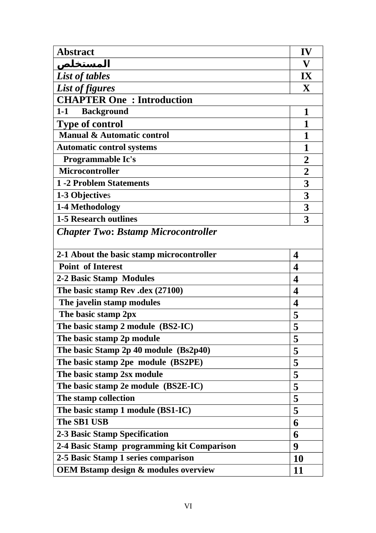| <b>Abstract</b>                                 | IV                      |
|-------------------------------------------------|-------------------------|
| <u>المستخلص</u>                                 | V                       |
| <b>List of tables</b>                           | $\mathbf{I} \mathbf{X}$ |
| <b>List of figures</b>                          | X                       |
| <b>CHAPTER One: Introduction</b>                |                         |
| <b>Background</b><br>$1 - 1$                    | 1                       |
| <b>Type of control</b>                          | 1                       |
| <b>Manual &amp; Automatic control</b>           | 1                       |
| <b>Automatic control systems</b>                | 1                       |
| Programmable Ic's                               | $\overline{2}$          |
| Microcontroller                                 | $\overline{2}$          |
| <b>1-2 Problem Statements</b>                   | 3                       |
| 1-3 Objectives                                  | 3                       |
| 1-4 Methodology                                 | 3                       |
| <b>1-5 Research outlines</b>                    | 3                       |
| <b>Chapter Two: Bstamp Microcontroller</b>      |                         |
|                                                 |                         |
| 2-1 About the basic stamp microcontroller       | $\boldsymbol{4}$        |
| <b>Point of Interest</b>                        | $\overline{\mathbf{4}}$ |
| 2-2 Basic Stamp Modules                         | $\boldsymbol{4}$        |
| The basic stamp Rev .dex (27100)                | $\boldsymbol{4}$        |
| The javelin stamp modules                       | $\boldsymbol{4}$        |
| The basic stamp 2px                             | 5                       |
| The basic stamp 2 module (BS2-IC)               | 5                       |
| The basic stamp 2p module                       | 5                       |
| The basic Stamp 2p 40 module (Bs2p40)           | 5                       |
| The basic stamp 2pe module (BS2PE)              | 5                       |
| The basic stamp 2sx module                      | 5                       |
| The basic stamp 2e module (BS2E-IC)             | 5                       |
| The stamp collection                            | 5                       |
| The basic stamp 1 module (BS1-IC)               | 5                       |
| <b>The SB1 USB</b>                              | 6                       |
| <b>2-3 Basic Stamp Specification</b>            | 6                       |
| 2-4 Basic Stamp programming kit Comparison      | 9                       |
| 2-5 Basic Stamp 1 series comparison             | <b>10</b>               |
| <b>OEM Bstamp design &amp; modules overview</b> | 11                      |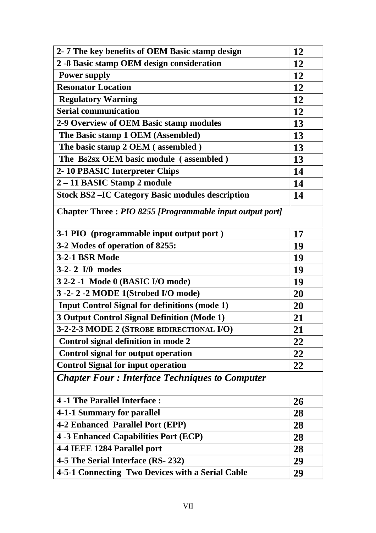| 2-7 The key benefits of OEM Basic stamp design           | 12 |  |
|----------------------------------------------------------|----|--|
| 2 -8 Basic stamp OEM design consideration                | 12 |  |
| <b>Power supply</b>                                      | 12 |  |
| <b>Resonator Location</b>                                | 12 |  |
| <b>Regulatory Warning</b>                                | 12 |  |
| <b>Serial communication</b>                              | 12 |  |
| 2-9 Overview of OEM Basic stamp modules                  | 13 |  |
| The Basic stamp 1 OEM (Assembled)                        | 13 |  |
| The basic stamp 2 OEM (assembled)                        | 13 |  |
| The Bs2sx OEM basic module (assembled)                   | 13 |  |
| 2-10 PBASIC Interpreter Chips                            | 14 |  |
| 2-11 BASIC Stamp 2 module                                | 14 |  |
| <b>Stock BS2-IC Category Basic modules description</b>   | 14 |  |
| Chapter Three: PIO 8255 [Programmable input output port] |    |  |
| 3-1 PIO (programmable input output port)                 | 17 |  |
| 3-2 Modes of operation of 8255:                          | 19 |  |
| <b>3-2-1 BSR Mode</b>                                    | 19 |  |
| 3-2-2 I/0 modes                                          | 19 |  |
| 3 2-2 -1 Mode 0 (BASIC I/O mode)                         | 19 |  |
| 3-2-2-2 MODE 1(Strobed I/O mode)                         | 20 |  |
| <b>Input Control Signal for definitions (mode 1)</b>     | 20 |  |
| <b>3 Output Control Signal Definition (Mode 1)</b>       | 21 |  |
| 3-2-2-3 MODE 2 (STROBE BIDIRECTIONAL I/O)                | 21 |  |
| <b>Control signal definition in mode 2</b>               | 22 |  |
| <b>Control signal for output operation</b>               | 22 |  |
| <b>Control Signal for input operation</b>                | 22 |  |
| <b>Chapter Four: Interface Techniques to Computer</b>    |    |  |
| 4 -1 The Parallel Interface:                             | 26 |  |
| 4-1-1 Summary for parallel                               | 28 |  |
| 4-2 Enhanced Parallel Port (EPP)                         | 28 |  |
| 4 -3 Enhanced Capabilities Port (ECP)                    | 28 |  |
| 4-4 IEEE 1284 Parallel port                              | 28 |  |
| 4-5 The Serial Interface (RS-232)                        | 29 |  |
| 4-5-1 Connecting Two Devices with a Serial Cable         | 29 |  |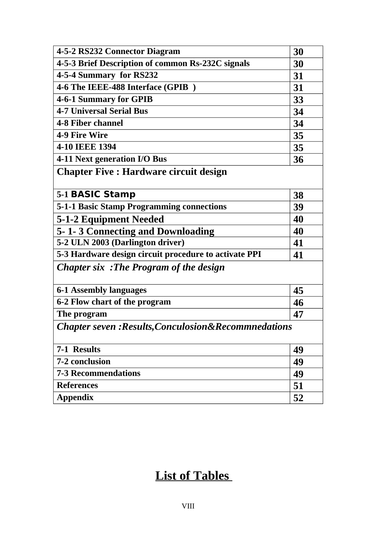| 4-5-2 RS232 Connector Diagram                                    | 30 |
|------------------------------------------------------------------|----|
| 4-5-3 Brief Description of common Rs-232C signals                | 30 |
| 4-5-4 Summary for RS232                                          | 31 |
| 4-6 The IEEE-488 Interface (GPIB)                                | 31 |
| 4-6-1 Summary for GPIB                                           | 33 |
| <b>4-7 Universal Serial Bus</b>                                  | 34 |
| 4-8 Fiber channel                                                | 34 |
| 4-9 Fire Wire                                                    | 35 |
| 4-10 IEEE 1394                                                   | 35 |
| 4-11 Next generation I/O Bus                                     | 36 |
| <b>Chapter Five : Hardware circuit design</b>                    |    |
|                                                                  |    |
| 5-1 BASIC Stamp                                                  | 38 |
| 5-1-1 Basic Stamp Programming connections                        | 39 |
| 5-1-2 Equipment Needed                                           | 40 |
| 5-1-3 Connecting and Downloading                                 | 40 |
| 5-2 ULN 2003 (Darlington driver)                                 | 41 |
| 5-3 Hardware design circuit procedure to activate PPI            | 41 |
| <b>Chapter six: The Program of the design</b>                    |    |
|                                                                  |    |
| 6-1 Assembly languages                                           | 45 |
| 6-2 Flow chart of the program                                    | 46 |
| The program                                                      | 47 |
| <b>Chapter seven : Results, Conculosion&amp; Recommnedations</b> |    |
|                                                                  |    |
| 7-1 Results                                                      | 49 |
| 7-2 conclusion                                                   | 49 |
| <b>7-3 Recommendations</b>                                       | 49 |
| <b>References</b>                                                | 51 |
| <b>Appendix</b>                                                  | 52 |

#### **List of Tables**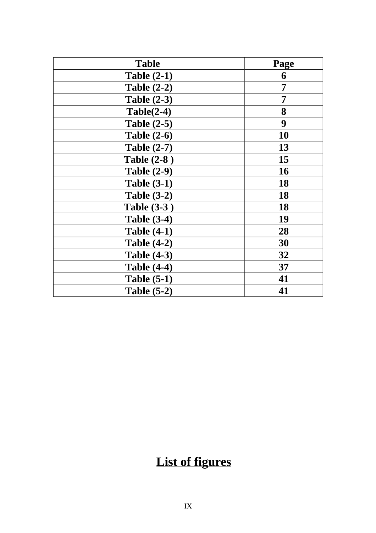| <b>Table</b>       | Page |
|--------------------|------|
| <b>Table (2-1)</b> | 6    |
| <b>Table (2-2)</b> | 7    |
| <b>Table (2-3)</b> | 7    |
| $Table(2-4)$       | 8    |
| <b>Table (2-5)</b> | 9    |
| <b>Table (2-6)</b> | 10   |
| <b>Table (2-7)</b> | 13   |
| <b>Table (2-8)</b> | 15   |
| <b>Table (2-9)</b> | 16   |
| Table $(3-1)$      | 18   |
| Table $(3-2)$      | 18   |
| <b>Table (3-3)</b> | 18   |
| <b>Table (3-4)</b> | 19   |
| <b>Table (4-1)</b> | 28   |
| <b>Table (4-2)</b> | 30   |
| <b>Table (4-3)</b> | 32   |
| <b>Table (4-4)</b> | 37   |
| <b>Table (5-1)</b> | 41   |
| <b>Table (5-2)</b> | 41   |

## **List of figures**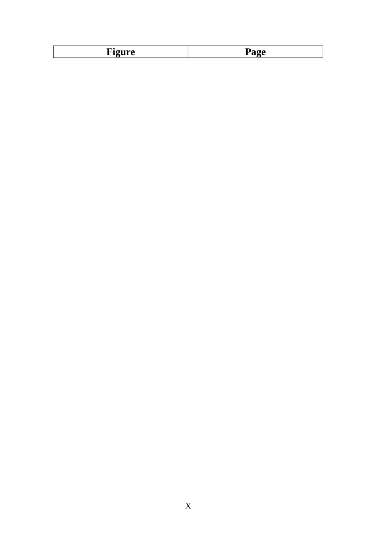| $\overline{\phantom{0}}$ | $\overline{\phantom{0}}$ |
|--------------------------|--------------------------|
|                          |                          |